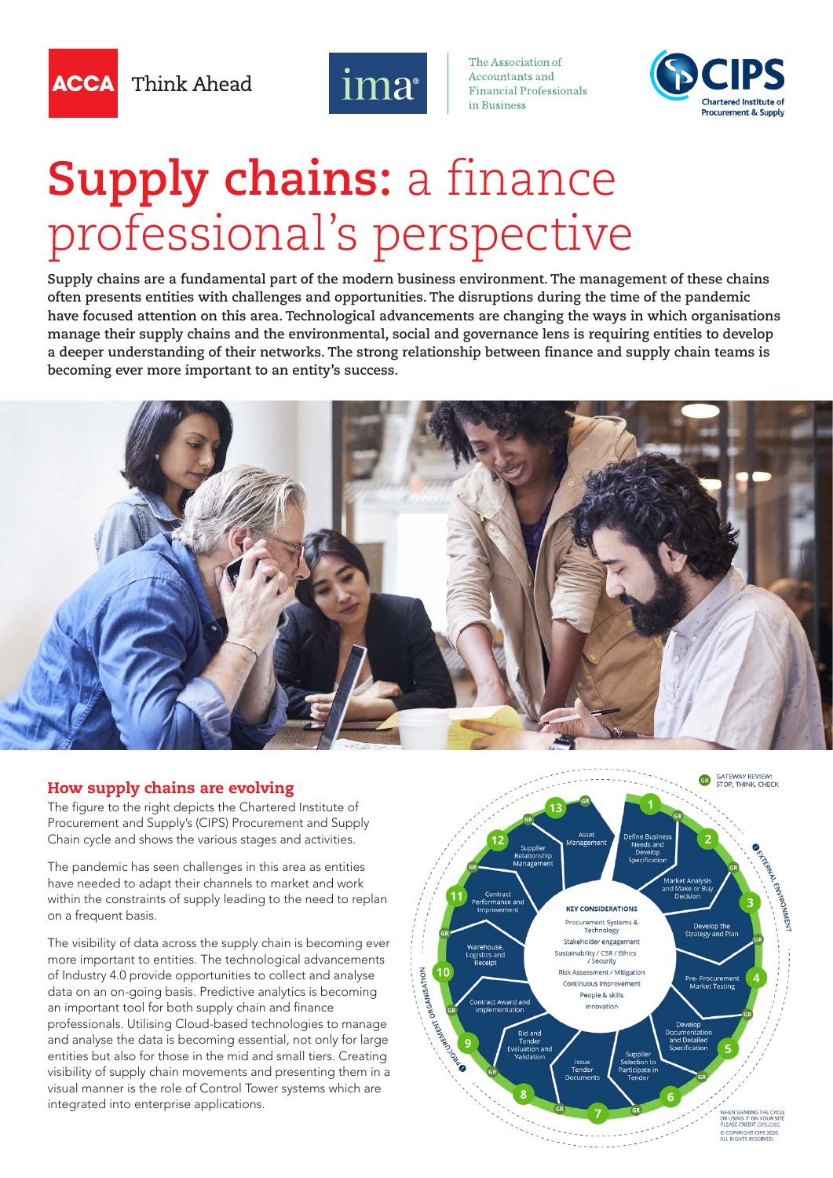Think Ahead



The Association of Accountants and **Financial Professionals** in Ruginage



# **Supply chains:** a finance professional's perspective

**Supply chains are a fundamental part of the modern business environment. The management of these chains often presents entities with challenges and opportunities. The disruptions during the time of the pandemic have focused attention on this area. Technological advancements are changing the ways in which organisations manage their supply chains and the environmental, social and governance lens is requiring entities to develop a deeper understanding of their networks. The strong relationship between finance and supply chain teams is becoming ever more important to an entity's success.** 



#### How supply chains are evolving

The figure to the right depicts the Chartered Institute of Procurement and Supply's (CIPS) Procurement and Supply Chain cycle and shows the various stages and activities.

The pandemic has seen challenges in this area as entities have needed to adapt their channels to market and work within the constraints of supply leading to the need to replan on a frequent basis.

The visibility of data across the supply chain is becoming ever more important to entities. The technological advancements of Industry 4.0 provide opportunities to collect and analyse data on an on-going basis. Predictive analytics is becoming an important tool for both supply chain and finance professionals. Utilising Cloud-based technologies to manage and analyse the data is becoming essential, not only for large entities but also for those in the mid and small tiers. Creating visibility of supply chain movements and presenting them in a visual manner is the role of Control Tower systems which are integrated into enterprise applications.